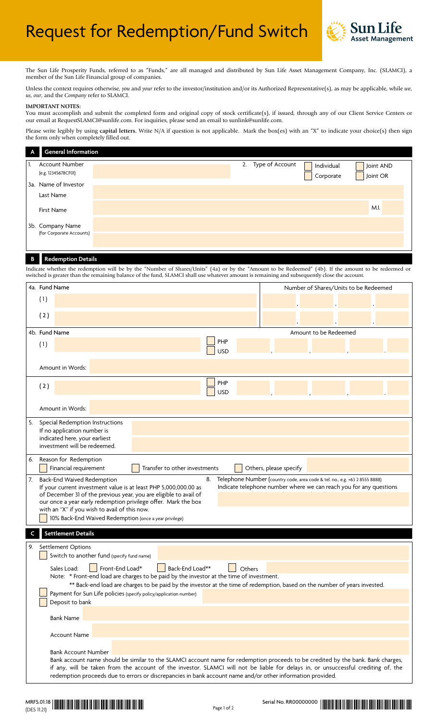

The Sun Life Prosperity Funds, referred to as "Funds," are all managed and distributed by Sun Life Asset Management Company, Inc. (SLAMCI), a member of the Sun Life Financial group of companies.

Unless the context requires otherwise, *you* and *your* refer to the investor/institution and/or its Authorized Representative(s), as may be applicable, while *we*, *us*, *our*, and the *Company* refer to SLAMCI.

## **IMPORTANT NOTES:**

You must accomplish and submit the completed form and original copy of stock certificate(s), if issued, through any of our Client Service Centers or our email at RequestSLAMCI@sunlife.com. For inquiries, please send an email to sunlink@sunlife.com.

Please write legibly by using **capital letters.** Write N/A if question is not applicable. Mark the box(es) with an "X" to indicate your choice(s) then sign the form only when completely filled out.

| $\mathsf{A}$ | <b>General Information</b>                   |                    |                         |                       |
|--------------|----------------------------------------------|--------------------|-------------------------|-----------------------|
|              | Account Number<br>(e.g. 12345678CF01)        | 2. Type of Account | Individual<br>Corporate | Joint AND<br>Joint OR |
|              | 3a. Name of Investor<br>Last Name            |                    |                         |                       |
|              | <b>First Name</b>                            |                    |                         | M.I.                  |
|              | 3b. Company Name<br>(for Corporate Accounts) |                    |                         |                       |

# **B Redemption Details**

Indicate whether the redemption will be by the "Number of Shares/Units" (4a) or by the "Amount to be Redeemed" (4b). If the amount to be redeemed or switched is greater than the remaining balance of the fund, SLAMCI shall use whatever amount is remaining and subsequently close the account.

|                           |                                                                                                                                                                                                                                                                                                                                                                                                                                                                                                             | 4a. Fund Name                                                                                                                   | Number of Shares/Units to be Redeemed |  |  |
|---------------------------|-------------------------------------------------------------------------------------------------------------------------------------------------------------------------------------------------------------------------------------------------------------------------------------------------------------------------------------------------------------------------------------------------------------------------------------------------------------------------------------------------------------|---------------------------------------------------------------------------------------------------------------------------------|---------------------------------------|--|--|
|                           | (1)                                                                                                                                                                                                                                                                                                                                                                                                                                                                                                         |                                                                                                                                 |                                       |  |  |
|                           | (2)                                                                                                                                                                                                                                                                                                                                                                                                                                                                                                         |                                                                                                                                 |                                       |  |  |
|                           |                                                                                                                                                                                                                                                                                                                                                                                                                                                                                                             | 4b. Fund Name                                                                                                                   | Amount to be Redeemed                 |  |  |
|                           | (1)                                                                                                                                                                                                                                                                                                                                                                                                                                                                                                         | <b>PHP</b><br><b>USD</b>                                                                                                        |                                       |  |  |
|                           |                                                                                                                                                                                                                                                                                                                                                                                                                                                                                                             | Amount in Words:                                                                                                                |                                       |  |  |
|                           | (2)                                                                                                                                                                                                                                                                                                                                                                                                                                                                                                         | <b>PHP</b><br><b>USD</b>                                                                                                        |                                       |  |  |
|                           |                                                                                                                                                                                                                                                                                                                                                                                                                                                                                                             | Amount in Words:                                                                                                                |                                       |  |  |
| 5.                        |                                                                                                                                                                                                                                                                                                                                                                                                                                                                                                             | Special Redemption Instructions<br>If no application number is<br>indicated here, your earliest<br>investment will be redeemed. |                                       |  |  |
| 6.                        | Reason for Redemption<br>Transfer to other investments<br>Financial requirement<br>Others, please specify                                                                                                                                                                                                                                                                                                                                                                                                   |                                                                                                                                 |                                       |  |  |
| 7.                        | Back-End Waived Redemption<br>8.<br>Telephone Number (country code, area code & tel. no., e.g. +63 2 8555 8888)<br>Indicate telephone number where we can reach you for any questions<br>If your current investment value is at least PHP 5,000,000.00 as<br>of December 31 of the previous year, you are eligible to avail of<br>our once a year early redemption privilege offer. Mark the box<br>with an "X" if you wish to avail of this now.<br>10% Back-End Waived Redemption (once a year privilege) |                                                                                                                                 |                                       |  |  |
| <b>Settlement Details</b> |                                                                                                                                                                                                                                                                                                                                                                                                                                                                                                             |                                                                                                                                 |                                       |  |  |
| 9.                        | Settlement Options<br>Switch to another fund (specify fund name)                                                                                                                                                                                                                                                                                                                                                                                                                                            |                                                                                                                                 |                                       |  |  |
|                           | Front-End Load*<br>Back-End Load**<br>Sales Load:<br>Others<br>Note: * Front-end load are charges to be paid by the investor at the time of investment.<br>** Back-end load are charges to be paid by the investor at the time of redemption, based on the number of years invested.<br>Payment for Sun Life policies (specify policy/application number)<br>Deposit to bank                                                                                                                                |                                                                                                                                 |                                       |  |  |
|                           |                                                                                                                                                                                                                                                                                                                                                                                                                                                                                                             | <b>Bank Name</b>                                                                                                                |                                       |  |  |
|                           |                                                                                                                                                                                                                                                                                                                                                                                                                                                                                                             | <b>Account Name</b>                                                                                                             |                                       |  |  |
|                           | <b>Bank Account Number</b><br>Bank account name should be similar to the SLAMCI account name for redemption proceeds to be credited by the bank. Bank charges,<br>if any, will be taken from the account of the investor. SLAMCI will not be liable for delays in, or unsuccessful crediting of, the<br>redemption proceeds due to errors or discrepancies in bank account name and/or other information provided.                                                                                          |                                                                                                                                 |                                       |  |  |